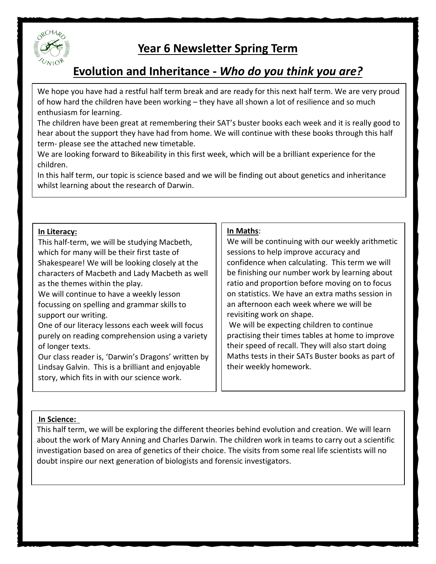

## **Year 6 Newsletter Spring Term**

# **Evolution and Inheritance -** *Who do you think you are?*

We hope you have had a restful half term break and are ready for this next half term. We are very proud of how hard the children have been working – they have all shown a lot of resilience and so much enthusiasm for learning.

The children have been great at remembering their SAT's buster books each week and it is really good to hear about the support they have had from home. We will continue with these books through this half term- please see the attached new timetable.

We are looking forward to Bikeability in this first week, which will be a brilliant experience for the children.

In this half term, our topic is science based and we will be finding out about genetics and inheritance whilst learning about the research of Darwin.

#### **In Literacy:**

This half-term, we will be studying Macbeth, which for many will be their first taste of Shakespeare! We will be looking closely at the characters of Macbeth and Lady Macbeth as well as the themes within the play.

We will continue to have a weekly lesson focussing on spelling and grammar skills to support our writing.

One of our literacy lessons each week will focus purely on reading comprehension using a variety of longer texts.

Our class reader is, 'Darwin's Dragons' written by Lindsay Galvin. This is a brilliant and enjoyable story, which fits in with our science work.

## **In Maths**:

We will be continuing with our weekly arithmetic sessions to help improve accuracy and confidence when calculating. This term we will be finishing our number work by learning about ratio and proportion before moving on to focus on statistics. We have an extra maths session in an afternoon each week where we will be revisiting work on shape.

We will be expecting children to continue practising their times tables at home to improve their speed of recall. They will also start doing Maths tests in their SATs Buster books as part of their weekly homework.

## **In Science:**

This half term, we will be exploring the different theories behind evolution and creation. We will learn about the work of Mary Anning and Charles Darwin. The children work in teams to carry out a scientific investigation based on area of genetics of their choice. The visits from some real life scientists will no doubt inspire our next generation of biologists and forensic investigators.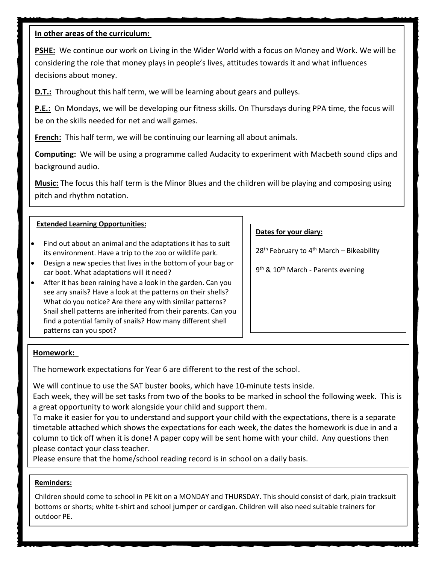### **In other areas of the curriculum:**

**PSHE:** We continue our work on Living in the Wider World with a focus on Money and Work. We will be considering the role that money plays in people's lives, attitudes towards it and what influences decisions about money.

**D.T.:** Throughout this half term, we will be learning about gears and pulleys.

**P.E.:** On Mondays, we will be developing our fitness skills. On Thursdays during PPA time, the focus will be on the skills needed for net and wall games.

**French:** This half term, we will be continuing our learning all about animals.

**Computing:** We will be using a programme called Audacity to experiment with Macbeth sound clips and background audio.

**Music:** The focus this half term is the Minor Blues and the children will be playing and composing using pitch and rhythm notation.

.**R.E.** Our first topic this year is, 'Creation', which will be taught as a block at the end of half term.

#### **Extended Learning Opportunities:**

- Find out about an animal and the adaptations it has to suit its environment. Have a trip to the zoo or wildlife park.
- Design a new species that lives in the bottom of your bag or car boot. What adaptations will it need?
- After it has been raining have a look in the garden. Can you see any snails? Have a look at the patterns on their shells? What do you notice? Are there any with similar patterns? Snail shell patterns are inherited from their parents. Can you find a potential family of snails? How many different shell patterns can you spot?

#### **Dates for your diary:**

 $28<sup>th</sup>$  February to 4<sup>th</sup> March – Bikeability

9<sup>th</sup> & 10<sup>th</sup> March - Parents evening

#### **Homework:**

The homework expectations for Year 6 are different to the rest of the school.

We will continue to use the SAT buster books, which have 10-minute tests inside.

Each week, they will be set tasks from two of the books to be marked in school the following week. This is a great opportunity to work alongside your child and support them.

To make it easier for you to understand and support your child with the expectations, there is a separate timetable attached which shows the expectations for each week, the dates the homework is due in and a column to tick off when it is done! A paper copy will be sent home with your child. Any questions then please contact your class teacher.

Please ensure that the home/school reading record is in school on a daily basis.

#### **Reminders:**

Children should come to school in PE kit on a MONDAY and THURSDAY. This should consist of dark, plain tracksuit bottoms or shorts; white t-shirt and school jumper or cardigan. Children will also need suitable trainers for outdoor PE.